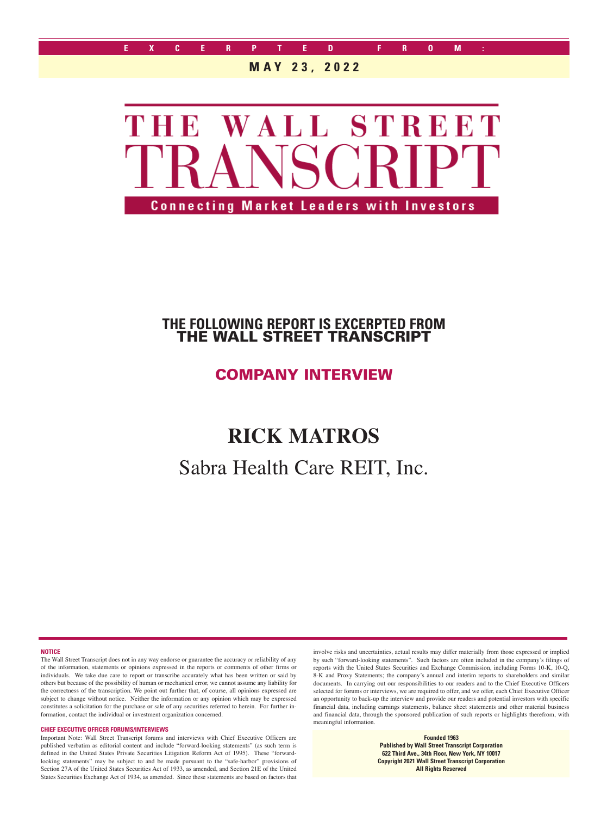

### **MAY 23, 2022**



## **THE FOLLOWING REPORT IS EXCERPTED FROM** THE WALL STREET TRANSCRIPT

## COMPANY INTERVIEW

# **RICK MATROS**

# Sabra Health Care REIT, Inc.

**NOTICE**

The Wall Street Transcript does not in any way endorse or guarantee the accuracy or reliability of any of the information, statements or opinions expressed in the reports or comments of other firms or individuals. We take due care to report or transcribe accurately what has been written or said by others but because of the possibility of human or mechanical error, we cannot assume any liability for the correctness of the transcription. We point out further that, of course, all opinions expressed are subject to change without notice. Neither the information or any opinion which may be expressed constitutes a solicitation for the purchase or sale of any securities referred to herein. For further information, contact the individual or investment organization concerned.

#### **CHIEF EXECUTIVE OFFICER FORUMS/INTERVIEWS**

Important Note: Wall Street Transcript forums and interviews with Chief Executive Officers are published verbatim as editorial content and include "forward-looking statements" (as such term is defined in the United States Private Securities Litigation Reform Act of 1995). These "forwardlooking statements" may be subject to and be made pursuant to the "safe-harbor" provisions of Section 27A of the United States Securities Act of 1933, as amended, and Section 21E of the United States Securities Exchange Act of 1934, as amended. Since these statements are based on factors that involve risks and uncertainties, actual results may differ materially from those expressed or implied by such "forward-looking statements". Such factors are often included in the company's filings of reports with the United States Securities and Exchange Commission, including Forms 10-K, 10-Q, 8-K and Proxy Statements; the company's annual and interim reports to shareholders and similar documents. In carrying out our responsibilities to our readers and to the Chief Executive Officers selected for forums or interviews, we are required to offer, and we offer, each Chief Executive Officer an opportunity to back-up the interview and provide our readers and potential investors with specific financial data, including earnings statements, balance sheet statements and other material business and financial data, through the sponsored publication of such reports or highlights therefrom, with meaningful information.

> **Founded 1963 Published by Wall Street Transcript Corporation 622 Third Ave., 34th Floor, New York, NY 10017 Copyright 2021 Wall Street Transcript Corporation All Rights Reserved**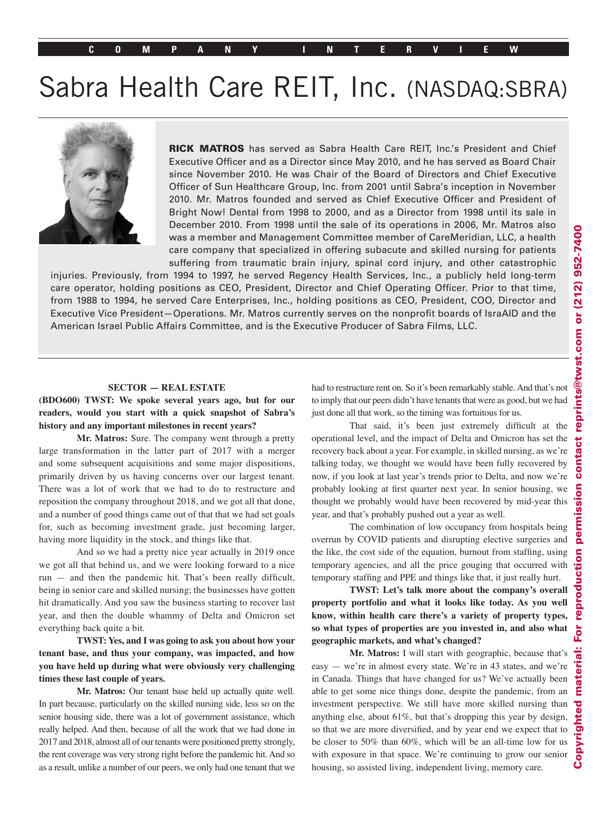# Sabra Health Care REIT, Inc. (NASDAQ:SBRA)



RICK MATROS has served as Sabra Health Care REIT, Inc.'s President and Chief Executive Officer and as a Director since May 2010, and he has served as Board Chair since November 2010. He was Chair of the Board of Directors and Chief Executive Officer of Sun Healthcare Group, Inc. from 2001 until Sabra's inception in November 2010. Mr. Matros founded and served as Chief Executive Officer and President of Bright Now! Dental from 1998 to 2000, and as a Director from 1998 until its sale in December 2010. From 1998 until the sale of its operations in 2006, Mr. Matros also was a member and Management Committee member of CareMeridian, LLC, a health care company that specialized in offering subacute and skilled nursing for patients suffering from traumatic brain injury, spinal cord injury, and other catastrophic

injuries. Previously, from 1994 to 1997, he served Regency Health Services, Inc., a publicly held long-term care operator, holding positions as CEO, President, Director and Chief Operating Officer. Prior to that time, from 1988 to 1994, he served Care Enterprises, Inc., holding positions as CEO, President, COO, Director and Executive Vice President—Operations. Mr. Matros currently serves on the nonprofit boards of IsraAID and the American Israel Public Affairs Committee, and is the Executive Producer of Sabra Films, LLC.

#### **SECTOR — REAL ESTATE**

#### **(BDO600) TWST: We spoke several years ago, but for our readers, would you start with a quick snapshot of Sabra's history and any important milestones in recent years?**

**Mr. Matros:** Sure. The company went through a pretty large transformation in the latter part of 2017 with a merger and some subsequent acquisitions and some major dispositions, primarily driven by us having concerns over our largest tenant. There was a lot of work that we had to do to restructure and reposition the company throughout 2018, and we got all that done, and a number of good things came out of that that we had set goals for, such as becoming investment grade, just becoming larger, having more liquidity in the stock, and things like that.

And so we had a pretty nice year actually in 2019 once we got all that behind us, and we were looking forward to a nice run — and then the pandemic hit. That's been really difficult, being in senior care and skilled nursing; the businesses have gotten hit dramatically. And you saw the business starting to recover last year, and then the double whammy of Delta and Omicron set everything back quite a bit.

**TWST: Yes, and I was going to ask you about how your tenant base, and thus your company, was impacted, and how you have held up during what were obviously very challenging times these last couple of years.**

**Mr. Matros:** Our tenant base held up actually quite well. In part because, particularly on the skilled nursing side, less so on the senior housing side, there was a lot of government assistance, which really helped. And then, because of all the work that we had done in 2017 and 2018, almost all of our tenants were positioned pretty strongly, the rent coverage was very strong right before the pandemic hit. And so as a result, unlike a number of our peers, we only had one tenant that we

had to restructure rent on. So it's been remarkably stable. And that's not to imply that our peers didn't have tenants that were as good, but we had just done all that work, so the timing was fortuitous for us.

That said, it's been just extremely difficult at the operational level, and the impact of Delta and Omicron has set the recovery back about a year. For example, in skilled nursing, as we're talking today, we thought we would have been fully recovered by now, if you look at last year's trends prior to Delta, and now we're probably looking at first quarter next year. In senior housing, we thought we probably would have been recovered by mid-year this year, and that's probably pushed out a year as well.

The combination of low occupancy from hospitals being overrun by COVID patients and disrupting elective surgeries and the like, the cost side of the equation, burnout from staffing, using temporary agencies, and all the price gouging that occurred with temporary staffing and PPE and things like that, it just really hurt.

**TWST: Let's talk more about the company's overall property portfolio and what it looks like today. As you well know, within health care there's a variety of property types, so what types of properties are you invested in, and also what geographic markets, and what's changed?**

**Mr. Matros:** I will start with geographic, because that's easy — we're in almost every state. We're in 43 states, and we're in Canada. Things that have changed for us? We've actually been able to get some nice things done, despite the pandemic, from an investment perspective. We still have more skilled nursing than anything else, about 61%, but that's dropping this year by design, so that we are more diversified, and by year end we expect that to be closer to 50% than 60%, which will be an all-time low for us with exposure in that space. We're continuing to grow our senior housing, so assisted living, independent living, memory care.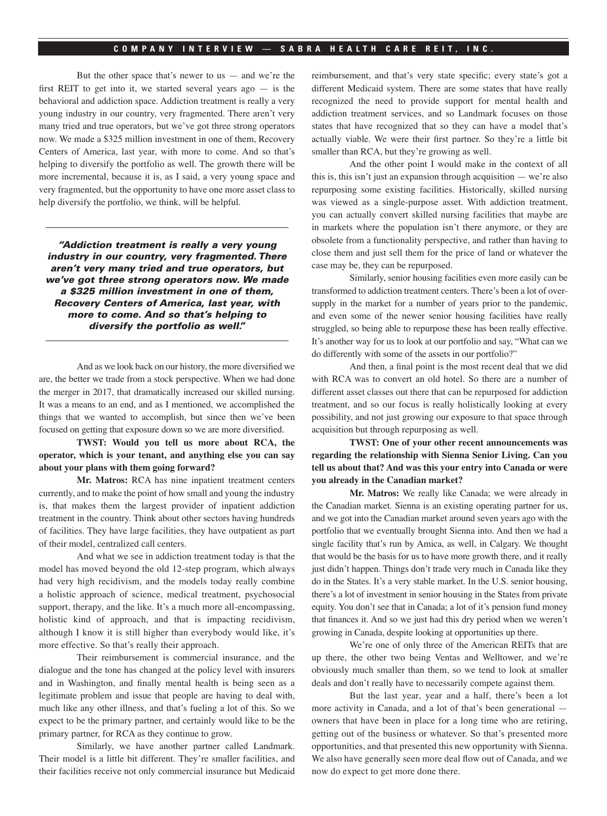#### **COMPANY INTERVIEW — SABRA HEALTH CARE REIT, INC.**

But the other space that's newer to us  $-$  and we're the first REIT to get into it, we started several years ago  $-$  is the behavioral and addiction space. Addiction treatment is really a very young industry in our country, very fragmented. There aren't very many tried and true operators, but we've got three strong operators now. We made a \$325 million investment in one of them, Recovery Centers of America, last year, with more to come. And so that's helping to diversify the portfolio as well. The growth there will be more incremental, because it is, as I said, a very young space and very fragmented, but the opportunity to have one more asset class to help diversify the portfolio, we think, will be helpful.

"Addiction treatment is really a very young industry in our country, very fragmented. There aren't very many tried and true operators, but we've got three strong operators now. We made a \$325 million investment in one of them, Recovery Centers of America, last year, with more to come. And so that's helping to diversify the portfolio as well."

And as we look back on our history, the more diversified we are, the better we trade from a stock perspective. When we had done the merger in 2017, that dramatically increased our skilled nursing. It was a means to an end, and as I mentioned, we accomplished the things that we wanted to accomplish, but since then we've been focused on getting that exposure down so we are more diversified.

**TWST: Would you tell us more about RCA, the operator, which is your tenant, and anything else you can say about your plans with them going forward?**

**Mr. Matros:** RCA has nine inpatient treatment centers currently, and to make the point of how small and young the industry is, that makes them the largest provider of inpatient addiction treatment in the country. Think about other sectors having hundreds of facilities. They have large facilities, they have outpatient as part of their model, centralized call centers.

And what we see in addiction treatment today is that the model has moved beyond the old 12-step program, which always had very high recidivism, and the models today really combine a holistic approach of science, medical treatment, psychosocial support, therapy, and the like. It's a much more all-encompassing, holistic kind of approach, and that is impacting recidivism, although I know it is still higher than everybody would like, it's more effective. So that's really their approach.

Their reimbursement is commercial insurance, and the dialogue and the tone has changed at the policy level with insurers and in Washington, and finally mental health is being seen as a legitimate problem and issue that people are having to deal with, much like any other illness, and that's fueling a lot of this. So we expect to be the primary partner, and certainly would like to be the primary partner, for RCA as they continue to grow.

Similarly, we have another partner called Landmark. Their model is a little bit different. They're smaller facilities, and their facilities receive not only commercial insurance but Medicaid reimbursement, and that's very state specific; every state's got a different Medicaid system. There are some states that have really recognized the need to provide support for mental health and addiction treatment services, and so Landmark focuses on those states that have recognized that so they can have a model that's actually viable. We were their first partner. So they're a little bit smaller than RCA, but they're growing as well.

And the other point I would make in the context of all this is, this isn't just an expansion through acquisition — we're also repurposing some existing facilities. Historically, skilled nursing was viewed as a single-purpose asset. With addiction treatment, you can actually convert skilled nursing facilities that maybe are in markets where the population isn't there anymore, or they are obsolete from a functionality perspective, and rather than having to close them and just sell them for the price of land or whatever the case may be, they can be repurposed.

Similarly, senior housing facilities even more easily can be transformed to addiction treatment centers. There's been a lot of oversupply in the market for a number of years prior to the pandemic, and even some of the newer senior housing facilities have really struggled, so being able to repurpose these has been really effective. It's another way for us to look at our portfolio and say, "What can we do differently with some of the assets in our portfolio?"

And then, a final point is the most recent deal that we did with RCA was to convert an old hotel. So there are a number of different asset classes out there that can be repurposed for addiction treatment, and so our focus is really holistically looking at every possibility, and not just growing our exposure to that space through acquisition but through repurposing as well.

**TWST: One of your other recent announcements was regarding the relationship with Sienna Senior Living. Can you tell us about that? And was this your entry into Canada or were you already in the Canadian market?**

**Mr. Matros:** We really like Canada; we were already in the Canadian market. Sienna is an existing operating partner for us, and we got into the Canadian market around seven years ago with the portfolio that we eventually brought Sienna into. And then we had a single facility that's run by Amica, as well, in Calgary. We thought that would be the basis for us to have more growth there, and it really just didn't happen. Things don't trade very much in Canada like they do in the States. It's a very stable market. In the U.S. senior housing, there's a lot of investment in senior housing in the States from private equity. You don't see that in Canada; a lot of it's pension fund money that finances it. And so we just had this dry period when we weren't growing in Canada, despite looking at opportunities up there.

We're one of only three of the American REITs that are up there, the other two being Ventas and Welltower, and we're obviously much smaller than them, so we tend to look at smaller deals and don't really have to necessarily compete against them.

But the last year, year and a half, there's been a lot more activity in Canada, and a lot of that's been generational owners that have been in place for a long time who are retiring, getting out of the business or whatever. So that's presented more opportunities, and that presented this new opportunity with Sienna. We also have generally seen more deal flow out of Canada, and we now do expect to get more done there.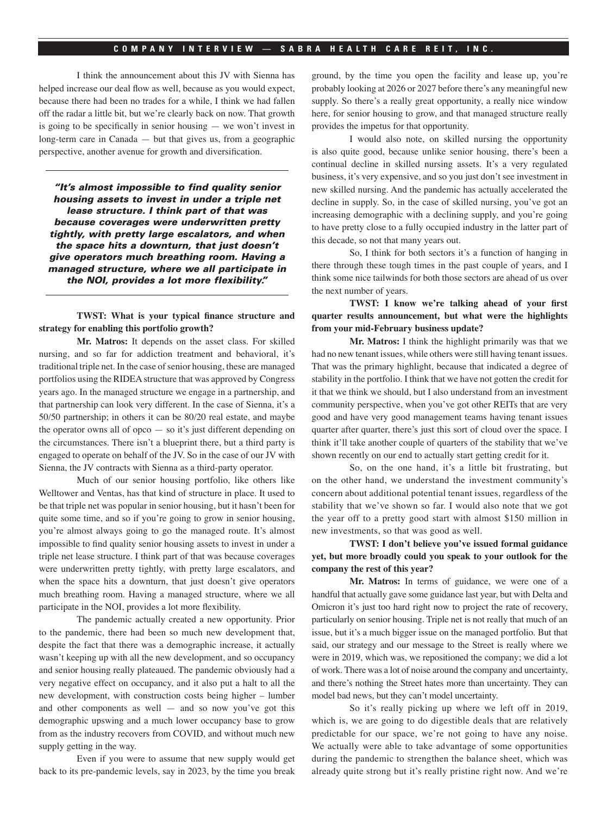#### **COMPANY INTERVIEW — SABRA HEALTH CARE REIT, INC.**

I think the announcement about this JV with Sienna has helped increase our deal flow as well, because as you would expect, because there had been no trades for a while, I think we had fallen off the radar a little bit, but we're clearly back on now. That growth is going to be specifically in senior housing — we won't invest in long-term care in Canada — but that gives us, from a geographic perspective, another avenue for growth and diversification.

"It's almost impossible to find quality senior housing assets to invest in under a triple net lease structure. I think part of that was because coverages were underwritten pretty tightly, with pretty large escalators, and when the space hits a downturn, that just doesn't give operators much breathing room. Having a managed structure, where we all participate in the NOI, provides a lot more flexibility."

**TWST: What is your typical finance structure and strategy for enabling this portfolio growth?**

**Mr. Matros:** It depends on the asset class. For skilled nursing, and so far for addiction treatment and behavioral, it's traditional triple net. In the case of senior housing, these are managed portfolios using the RIDEA structure that was approved by Congress years ago. In the managed structure we engage in a partnership, and that partnership can look very different. In the case of Sienna, it's a 50/50 partnership; in others it can be 80/20 real estate, and maybe the operator owns all of opco — so it's just different depending on the circumstances. There isn't a blueprint there, but a third party is engaged to operate on behalf of the JV. So in the case of our JV with Sienna, the JV contracts with Sienna as a third-party operator.

Much of our senior housing portfolio, like others like Welltower and Ventas, has that kind of structure in place. It used to be that triple net was popular in senior housing, but it hasn't been for quite some time, and so if you're going to grow in senior housing, you're almost always going to go the managed route. It's almost impossible to find quality senior housing assets to invest in under a triple net lease structure. I think part of that was because coverages were underwritten pretty tightly, with pretty large escalators, and when the space hits a downturn, that just doesn't give operators much breathing room. Having a managed structure, where we all participate in the NOI, provides a lot more flexibility.

The pandemic actually created a new opportunity. Prior to the pandemic, there had been so much new development that, despite the fact that there was a demographic increase, it actually wasn't keeping up with all the new development, and so occupancy and senior housing really plateaued. The pandemic obviously had a very negative effect on occupancy, and it also put a halt to all the new development, with construction costs being higher – lumber and other components as well — and so now you've got this demographic upswing and a much lower occupancy base to grow from as the industry recovers from COVID, and without much new supply getting in the way.

Even if you were to assume that new supply would get back to its pre-pandemic levels, say in 2023, by the time you break

ground, by the time you open the facility and lease up, you're probably looking at 2026 or 2027 before there's any meaningful new supply. So there's a really great opportunity, a really nice window here, for senior housing to grow, and that managed structure really provides the impetus for that opportunity.

I would also note, on skilled nursing the opportunity is also quite good, because unlike senior housing, there's been a continual decline in skilled nursing assets. It's a very regulated business, it's very expensive, and so you just don't see investment in new skilled nursing. And the pandemic has actually accelerated the decline in supply. So, in the case of skilled nursing, you've got an increasing demographic with a declining supply, and you're going to have pretty close to a fully occupied industry in the latter part of this decade, so not that many years out.

So, I think for both sectors it's a function of hanging in there through these tough times in the past couple of years, and I think some nice tailwinds for both those sectors are ahead of us over the next number of years.

#### **TWST: I know we're talking ahead of your first quarter results announcement, but what were the highlights from your mid-February business update?**

**Mr. Matros:** I think the highlight primarily was that we had no new tenant issues, while others were still having tenant issues. That was the primary highlight, because that indicated a degree of stability in the portfolio. I think that we have not gotten the credit for it that we think we should, but I also understand from an investment community perspective, when you've got other REITs that are very good and have very good management teams having tenant issues quarter after quarter, there's just this sort of cloud over the space. I think it'll take another couple of quarters of the stability that we've shown recently on our end to actually start getting credit for it.

So, on the one hand, it's a little bit frustrating, but on the other hand, we understand the investment community's concern about additional potential tenant issues, regardless of the stability that we've shown so far. I would also note that we got the year off to a pretty good start with almost \$150 million in new investments, so that was good as well.

#### **TWST: I don't believe you've issued formal guidance yet, but more broadly could you speak to your outlook for the company the rest of this year?**

**Mr. Matros:** In terms of guidance, we were one of a handful that actually gave some guidance last year, but with Delta and Omicron it's just too hard right now to project the rate of recovery, particularly on senior housing. Triple net is not really that much of an issue, but it's a much bigger issue on the managed portfolio. But that said, our strategy and our message to the Street is really where we were in 2019, which was, we repositioned the company; we did a lot of work. There was a lot of noise around the company and uncertainty, and there's nothing the Street hates more than uncertainty. They can model bad news, but they can't model uncertainty.

So it's really picking up where we left off in 2019, which is, we are going to do digestible deals that are relatively predictable for our space, we're not going to have any noise. We actually were able to take advantage of some opportunities during the pandemic to strengthen the balance sheet, which was already quite strong but it's really pristine right now. And we're